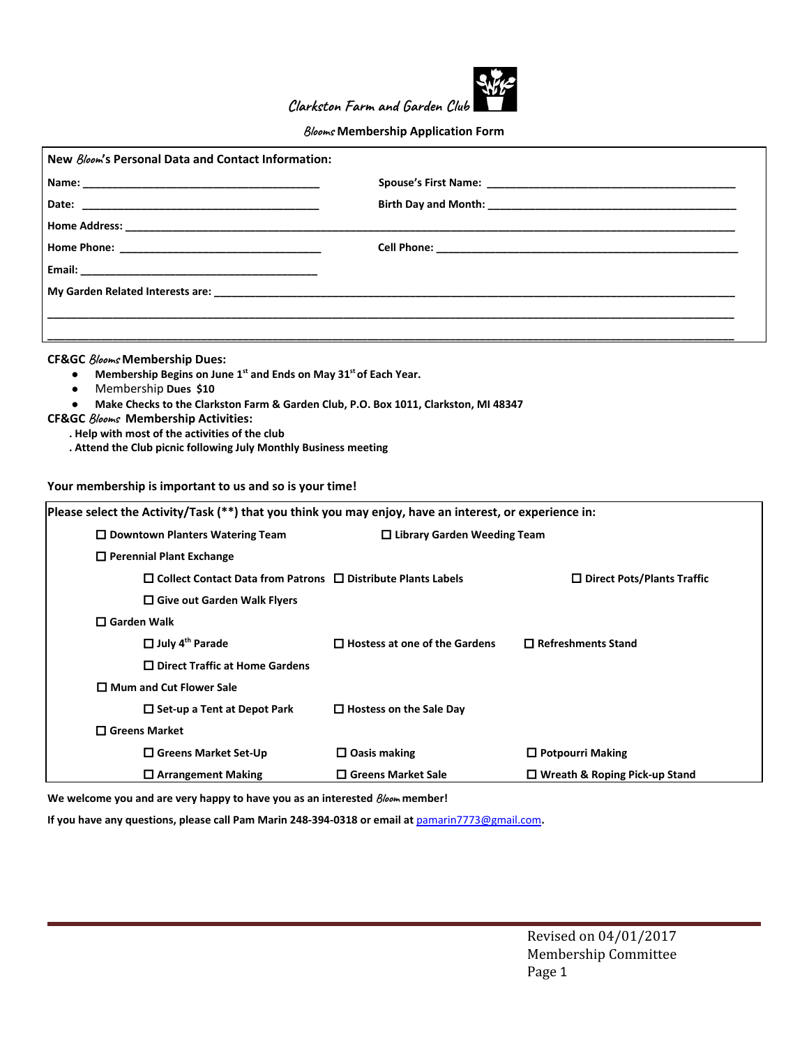

**Clarkston Farm and Garden Club**

## **Blooms Membership Application Form**

## **CF&GC Blooms Membership Dues:**

- **Membership Begins on June 1<sup>st</sup> and Ends on May 31<sup>st</sup> of Each Year.**
- **●** Membership **Dues \$10**
- **● Make Checks to the Clarkston Farm & Garden Club, P.O. Box 1011, Clarkston, MI 48347**
- **CF&GC Blooms Membership Activities:**
	- **. Help with most of the activities of the club**
	- **. Attend the Club picnic following July Monthly Business meeting**

## **Your membership is important to us and so is your time!**

| Please select the Activity/Task (**) that you think you may enjoy, have an interest, or experience in: |                                      |                                      |  |  |
|--------------------------------------------------------------------------------------------------------|--------------------------------------|--------------------------------------|--|--|
| $\square$ Downtown Planters Watering Team                                                              | $\Box$ Library Garden Weeding Team   |                                      |  |  |
| $\Box$ Perennial Plant Exchange                                                                        |                                      |                                      |  |  |
| $\Box$ Collect Contact Data from Patrons $\Box$ Distribute Plants Labels                               |                                      | $\Box$ Direct Pots/Plants Traffic    |  |  |
| $\Box$ Give out Garden Walk Flyers                                                                     |                                      |                                      |  |  |
| $\square$ Garden Walk                                                                                  |                                      |                                      |  |  |
| $\Box$ July 4 <sup>th</sup> Parade                                                                     | $\Box$ Hostess at one of the Gardens | $\Box$ Refreshments Stand            |  |  |
| $\Box$ Direct Traffic at Home Gardens                                                                  |                                      |                                      |  |  |
| □ Mum and Cut Flower Sale                                                                              |                                      |                                      |  |  |
| $\Box$ Set-up a Tent at Depot Park                                                                     | $\Box$ Hostess on the Sale Day       |                                      |  |  |
| □ Greens Market                                                                                        |                                      |                                      |  |  |
| $\Box$ Greens Market Set-Up                                                                            | $\Box$ Oasis making                  | $\Box$ Potpourri Making              |  |  |
| $\Box$ Arrangement Making                                                                              | $\Box$ Greens Market Sale            | $\Box$ Wreath & Roping Pick-up Stand |  |  |

**We welcome you and are very happy to have you as an interested Bloom member!**

**If you have any questions, please call Pam Marin 248-394-0318 or email at** [pamarin7773@gmail.com](mailto:pamarin7773@gmail.com)**.**